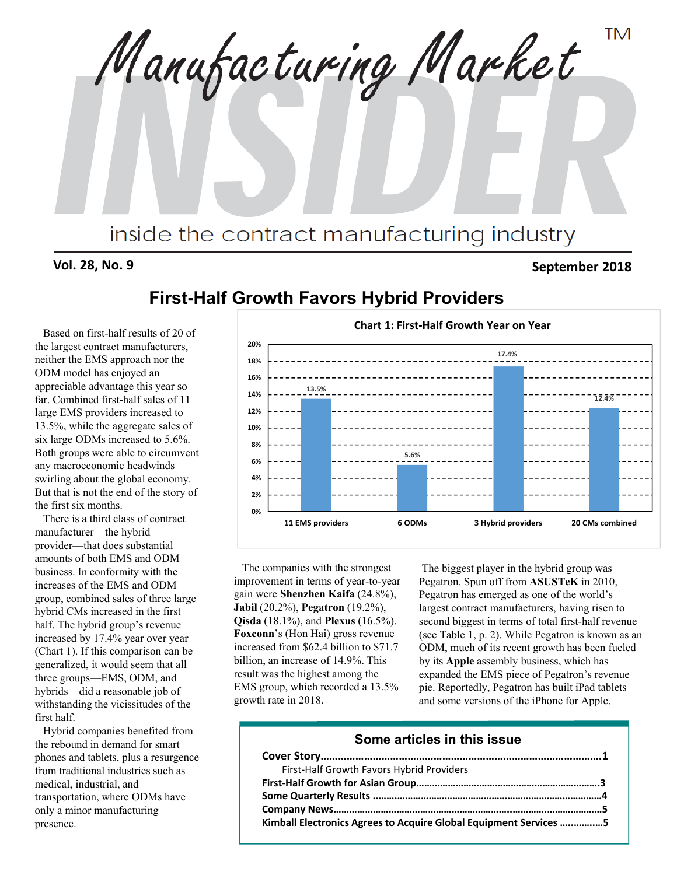**TM** Manufacturing Market inside the contract manufacturing industry

#### **Vol. 28, No. 9 September 2018**

# **First-Half Growth Favors Hybrid Providers**

Based on first-half results of 20 of the largest contract manufacturers, neither the EMS approach nor the ODM model has enjoyed an appreciable advantage this year so far. Combined first-half sales of 11 large EMS providers increased to 13.5%, while the aggregate sales of six large ODMs increased to 5.6%. Both groups were able to circumvent any macroeconomic headwinds swirling about the global economy. But that is not the end of the story of the first six months.

There is a third class of contract manufacturer—the hybrid provider—that does substantial amounts of both EMS and ODM business. In conformity with the increases of the EMS and ODM group, combined sales of three large hybrid CMs increased in the first half. The hybrid group's revenue increased by 17.4% year over year (Chart 1). If this comparison can be generalized, it would seem that all three groups—EMS, ODM, and hybrids—did a reasonable job of withstanding the vicissitudes of the first half.

Hybrid companies benefited from the rebound in demand for smart phones and tablets, plus a resurgence from traditional industries such as medical, industrial, and transportation, where ODMs have only a minor manufacturing presence.



The companies with the strongest improvement in terms of year-to-year gain were **Shenzhen Kaifa** (24.8%), **Jabil** (20.2%), **Pegatron** (19.2%), **Qisda** (18.1%), and **Plexus** (16.5%). **Foxconn**'s (Hon Hai) gross revenue increased from \$62.4 billion to \$71.7 billion, an increase of 14.9%. This result was the highest among the EMS group, which recorded a 13.5% growth rate in 2018.

The biggest player in the hybrid group was Pegatron. Spun off from **ASUSTeK** in 2010, Pegatron has emerged as one of the world's largest contract manufacturers, having risen to second biggest in terms of total first-half revenue (see Table 1, p. 2). While Pegatron is known as an ODM, much of its recent growth has been fueled by its **Apple** assembly business, which has expanded the EMS piece of Pegatron's revenue pie. Reportedly, Pegatron has built iPad tablets and some versions of the iPhone for Apple.

#### **Some articles in this issue**

| First-Half Growth Favors Hybrid Providers                         |
|-------------------------------------------------------------------|
|                                                                   |
|                                                                   |
|                                                                   |
| Kimball Electronics Agrees to Acquire Global Equipment Services 5 |

#### **Chart 1: First‐Half Growth Year on Year**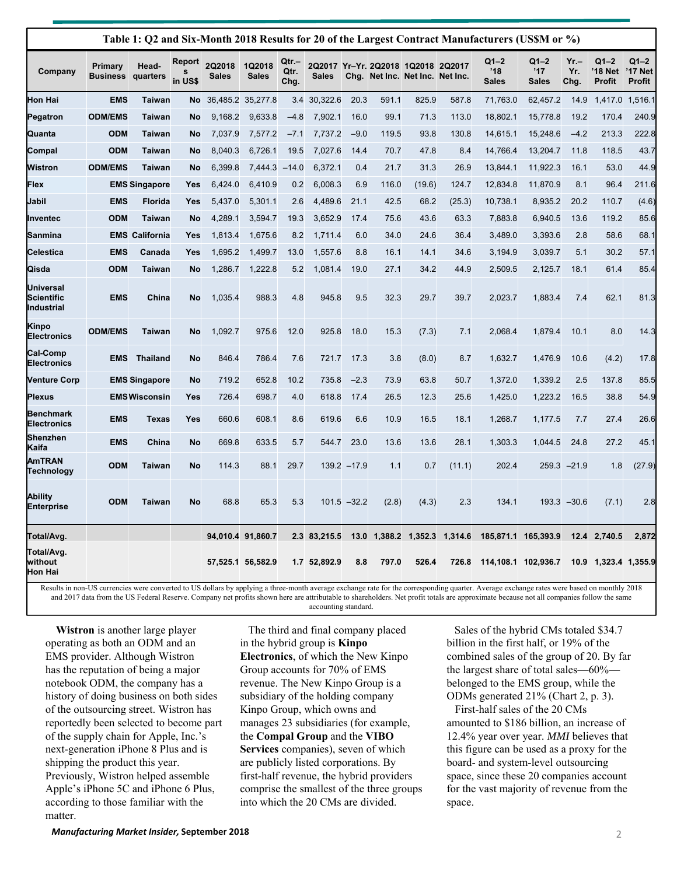|                                              | Table 1: Q2 and Six-Month 2018 Results for 20 of the Largest Contract Manufacturers (US\$M or %) |                       |                   |                               |                        |                       |              |                |         |                                                                       |                 |                                 |                                 |                       |                                      |                             |
|----------------------------------------------|--------------------------------------------------------------------------------------------------|-----------------------|-------------------|-------------------------------|------------------------|-----------------------|--------------|----------------|---------|-----------------------------------------------------------------------|-----------------|---------------------------------|---------------------------------|-----------------------|--------------------------------------|-----------------------------|
| Company                                      | Primary<br><b>Business</b>                                                                       | Head-<br>quarters     | Report<br>in US\$ | <b>2Q2018</b><br><b>Sales</b> | 1Q2018<br><b>Sales</b> | Qtr.-<br>Qtr.<br>Chg. | <b>Sales</b> |                |         | 2Q2017 Yr-Yr. 2Q2018 1Q2018 2Q2017<br>Chg. Net Inc. Net Inc. Net Inc. |                 | $Q1 - 2$<br>'18<br><b>Sales</b> | $Q1 - 2$<br>'17<br><b>Sales</b> | $Yr -$<br>Yr.<br>Chg. | $Q1 - 2$<br>'18 Net<br><b>Profit</b> | $Q1-2$<br>'17 Net<br>Profit |
| Hon Hai                                      | <b>EMS</b>                                                                                       | Taiwan                | No.               |                               | 36,485.2 35,277.8      | 3.4                   | 30,322.6     | 20.3           | 591.1   | 825.9                                                                 | 587.8           | 71,763.0                        | 62,457.2                        | 14.9                  | 1,417.0                              | 1,516.1                     |
| Pegatron                                     | <b>ODM/EMS</b>                                                                                   | <b>Taiwan</b>         | No                | 9,168.2                       | 9,633.8                | $-4.8$                | 7,902.1      | 16.0           | 99.1    | 71.3                                                                  | 113.0           | 18,802.1                        | 15,778.8                        | 19.2                  | 170.4                                | 240.9                       |
| Quanta                                       | <b>ODM</b>                                                                                       | Taiwan                | No                | 7,037.9                       | 7,577.2                | $-7.1$                | 7,737.2      | $-9.0$         | 119.5   | 93.8                                                                  | 130.8           | 14,615.1                        | 15,248.6                        | $-4.2$                | 213.3                                | 222.8                       |
| Compal                                       | <b>ODM</b>                                                                                       | Taiwan                | No                | 8,040.3                       | 6,726.1                | 19.5                  | 7,027.6      | 14.4           | 70.7    | 47.8                                                                  | 8.4             | 14,766.4                        | 13,204.7                        | 11.8                  | 118.5                                | 43.7                        |
| Wistron                                      | <b>ODM/EMS</b>                                                                                   | Taiwan                | <b>No</b>         | 6,399.8                       | 7,444.3                | $-14.0$               | 6,372.1      | 0.4            | 21.7    | 31.3                                                                  | 26.9            | 13,844.1                        | 11,922.3                        | 16.1                  | 53.0                                 | 44.9                        |
| Flex                                         |                                                                                                  | <b>EMS Singapore</b>  | Yes               | 6,424.0                       | 6,410.9                | 0.2                   | 6,008.3      | 6.9            | 116.0   | (19.6)                                                                | 124.7           | 12,834.8                        | 11,870.9                        | 8.1                   | 96.4                                 | 211.6                       |
| Jabil                                        | <b>EMS</b>                                                                                       | <b>Florida</b>        | Yes               | 5,437.0                       | 5,301.1                | 2.6                   | 4,489.6      | 21.1           | 42.5    | 68.2                                                                  | (25.3)          | 10,738.1                        | 8,935.2                         | 20.2                  | 110.7                                | (4.6)                       |
| Inventec                                     | <b>ODM</b>                                                                                       | Taiwan                | <b>No</b>         | 4,289.1                       | 3,594.7                | 19.3                  | 3,652.9      | 17.4           | 75.6    | 43.6                                                                  | 63.3            | 7,883.8                         | 6,940.5                         | 13.6                  | 119.2                                | 85.6                        |
| Sanmina                                      |                                                                                                  | <b>EMS California</b> | Yes               | 1,813.4                       | 1,675.6                | 8.2                   | 1,711.4      | 6.0            | 34.0    | 24.6                                                                  | 36.4            | 3,489.0                         | 3,393.6                         | 2.8                   | 58.6                                 | 68.1                        |
| Celestica                                    | <b>EMS</b>                                                                                       | Canada                | Yes               | 1,695.2                       | 1,499.7                | 13.0                  | 1,557.6      | 8.8            | 16.1    | 14.1                                                                  | 34.6            | 3,194.9                         | 3,039.7                         | 5.1                   | 30.2                                 | 57.1                        |
| Qisda                                        | <b>ODM</b>                                                                                       | <b>Taiwan</b>         | No                | 1,286.7                       | 1,222.8                | 5.2                   | 1,081.4      | 19.0           | 27.1    | 34.2                                                                  | 44.9            | 2,509.5                         | 2,125.7                         | 18.1                  | 61.4                                 | 85.4                        |
| <b>Universal</b><br>Scientific<br>Industrial | <b>EMS</b>                                                                                       | China                 | No                | 1,035.4                       | 988.3                  | 4.8                   | 945.8        | 9.5            | 32.3    | 29.7                                                                  | 39.7            | 2,023.7                         | 1,883.4                         | 7.4                   | 62.1                                 | 81.3                        |
| Kinpo<br><b>Electronics</b>                  | <b>ODM/EMS</b>                                                                                   | Taiwan                | No                | 1,092.7                       | 975.6                  | 12.0                  | 925.8        | 18.0           | 15.3    | (7.3)                                                                 | 7.1             | 2,068.4                         | 1,879.4                         | 10.1                  | 8.0                                  | 14.3                        |
| <b>Cal-Comp</b><br><b>Electronics</b>        | EMS                                                                                              | <b>Thailand</b>       | No                | 846.4                         | 786.4                  | 7.6                   | 721.7        | 17.3           | 3.8     | (8.0)                                                                 | 8.7             | 1,632.7                         | 1,476.9                         | 10.6                  | (4.2)                                | 17.8                        |
| Venture Corp                                 |                                                                                                  | <b>EMS Singapore</b>  | No                | 719.2                         | 652.8                  | 10.2                  | 735.8        | $-2.3$         | 73.9    | 63.8                                                                  | 50.7            | 1,372.0                         | 1,339.2                         | 2.5                   | 137.8                                | 85.5                        |
| Plexus                                       |                                                                                                  | <b>EMSWisconsin</b>   | Yes               | 726.4                         | 698.7                  | 4.0                   | 618.8        | 17.4           | 26.5    | 12.3                                                                  | 25.6            | 1,425.0                         | 1,223.2                         | 16.5                  | 38.8                                 | 54.9                        |
| Benchmark<br><b>Electronics</b>              | <b>EMS</b>                                                                                       | Texas                 | Yes               | 660.6                         | 608.1                  | 8.6                   | 619.6        | 6.6            | 10.9    | 16.5                                                                  | 18.1            | 1,268.7                         | 1,177.5                         | 7.7                   | 27.4                                 | 26.6                        |
| Shenzhen<br>Kaifa                            | <b>EMS</b>                                                                                       | China                 | No                | 669.8                         | 633.5                  | 5.7                   | 544.7        | 23.0           | 13.6    | 13.6                                                                  | 28.1            | 1,303.3                         | 1,044.5                         | 24.8                  | 27.2                                 | 45.1                        |
| AmTRAN<br>Technology                         | <b>ODM</b>                                                                                       | <b>Taiwan</b>         | No                | 114.3                         | 88.1                   | 29.7                  |              | $139.2 - 17.9$ | 1.1     | 0.7                                                                   | (11.1)          | 202.4                           | 259.3                           | $-21.9$               | 1.8                                  | (27.9)                      |
| Ability<br>Enterprise                        | <b>ODM</b>                                                                                       | <b>Taiwan</b>         | <b>No</b>         | 68.8                          | 65.3                   | 5.3                   |              | $101.5 - 32.2$ | (2.8)   | (4.3)                                                                 | 2.3             | 134.1                           |                                 | $193.3 - 30.6$        | (7.1)                                | 2.8                         |
| Total/Avg.                                   |                                                                                                  |                       |                   |                               | 94,010.4 91,860.7      |                       | 2.3 83,215.5 | 13.0           | 1,388.2 |                                                                       | 1,352.3 1,314.6 |                                 | 185,871.1 165,393.9             |                       | 12.4 2,740.5                         | 2,872                       |
| Total/Avg.<br>without<br>Hon Hai             |                                                                                                  |                       |                   |                               | 57,525.1 56,582.9      |                       | 1.7 52,892.9 | 8.8            | 797.0   | 526.4                                                                 | 726.8           |                                 | 114,108.1 102,936.7             | 10.9                  |                                      | 1,323.4 1,355.9             |

Results in non-US currencies were converted to US dollars by applying a three-month average exchange rate for the corresponding quarter. Average exchange rates were based on monthly 2018 and 2017 data from the US Federal Reserve. Company net profits shown here are attributable to shareholders. Net profit totals are approximate because not all companies follow the same accounting standard.

**Wistron** is another large player operating as both an ODM and an EMS provider. Although Wistron has the reputation of being a major notebook ODM, the company has a history of doing business on both sides of the outsourcing street. Wistron has reportedly been selected to become part of the supply chain for Apple, Inc.'s next-generation iPhone 8 Plus and is shipping the product this year. Previously, Wistron helped assemble Apple's iPhone 5C and iPhone 6 Plus, according to those familiar with the matter.

The third and final company placed in the hybrid group is **Kinpo Electronics**, of which the New Kinpo Group accounts for 70% of EMS revenue. The New Kinpo Group is a subsidiary of the holding company Kinpo Group, which owns and manages 23 subsidiaries (for example, the **Compal Group** and the **VIBO Services** companies), seven of which are publicly listed corporations. By first-half revenue, the hybrid providers comprise the smallest of the three groups into which the 20 CMs are divided.

Sales of the hybrid CMs totaled \$34.7 billion in the first half, or 19% of the combined sales of the group of 20. By far the largest share of total sales—60% belonged to the EMS group, while the ODMs generated 21% (Chart 2, p. 3).

First-half sales of the 20 CMs amounted to \$186 billion, an increase of 12.4% year over year. *MMI* believes that this figure can be used as a proxy for the board- and system-level outsourcing space, since these 20 companies account for the vast majority of revenue from the space.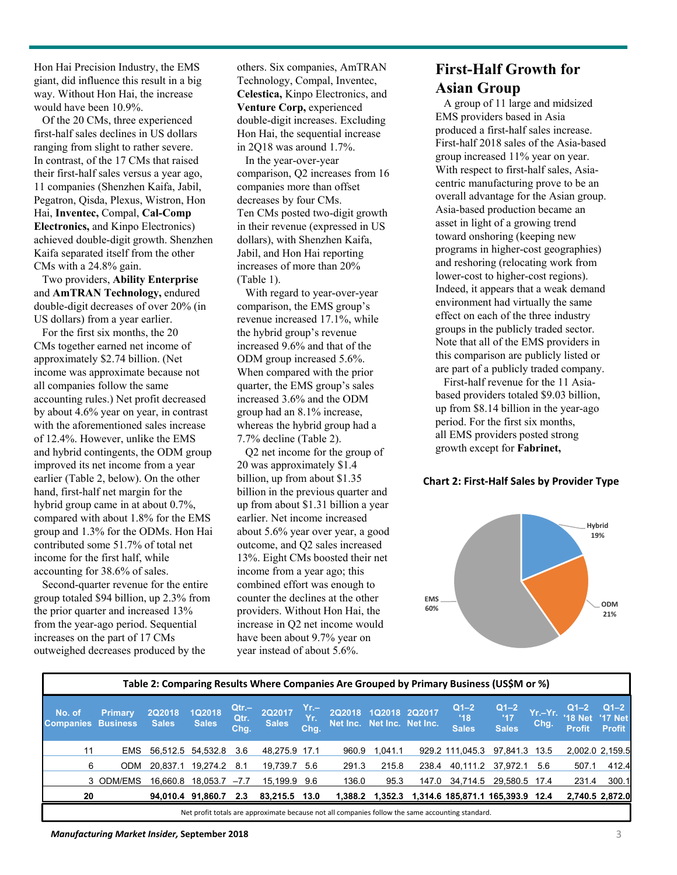Hon Hai Precision Industry, the EMS giant, did influence this result in a big way. Without Hon Hai, the increase would have been 10.9%.

Of the 20 CMs, three experienced first-half sales declines in US dollars ranging from slight to rather severe. In contrast, of the 17 CMs that raised their first-half sales versus a year ago, 11 companies (Shenzhen Kaifa, Jabil, Pegatron, Qisda, Plexus, Wistron, Hon Hai, **Inventec,** Compal, **Cal-Comp Electronics,** and Kinpo Electronics) achieved double-digit growth. Shenzhen Kaifa separated itself from the other CMs with a 24.8% gain.

Two providers, **Ability Enterprise**  and **AmTRAN Technology,** endured double-digit decreases of over 20% (in US dollars) from a year earlier.

For the first six months, the 20 CMs together earned net income of approximately \$2.74 billion. (Net income was approximate because not all companies follow the same accounting rules.) Net profit decreased by about 4.6% year on year, in contrast with the aforementioned sales increase of 12.4%. However, unlike the EMS and hybrid contingents, the ODM group improved its net income from a year earlier (Table 2, below). On the other hand, first-half net margin for the hybrid group came in at about 0.7%, compared with about 1.8% for the EMS group and 1.3% for the ODMs. Hon Hai contributed some 51.7% of total net income for the first half, while accounting for 38.6% of sales.

Second-quarter revenue for the entire group totaled \$94 billion, up 2.3% from the prior quarter and increased 13% from the year-ago period. Sequential increases on the part of 17 CMs outweighed decreases produced by the

others. Six companies, AmTRAN Technology, Compal, Inventec, **Celestica,** Kinpo Electronics, and **Venture Corp,** experienced double-digit increases. Excluding Hon Hai, the sequential increase in 2Q18 was around 1.7%.

In the year-over-year comparison, Q2 increases from 16 companies more than offset decreases by four CMs. Ten CMs posted two-digit growth in their revenue (expressed in US dollars), with Shenzhen Kaifa, Jabil, and Hon Hai reporting increases of more than 20% (Table 1).

With regard to year-over-year comparison, the EMS group's revenue increased 17.1%, while the hybrid group's revenue increased 9.6% and that of the ODM group increased 5.6%. When compared with the prior quarter, the EMS group's sales increased 3.6% and the ODM group had an 8.1% increase, whereas the hybrid group had a 7.7% decline (Table 2).

Q2 net income for the group of 20 was approximately \$1.4 billion, up from about \$1.35 billion in the previous quarter and up from about \$1.31 billion a year earlier. Net income increased about 5.6% year over year, a good outcome, and Q2 sales increased 13%. Eight CMs boosted their net income from a year ago; this combined effort was enough to counter the declines at the other providers. Without Hon Hai, the increase in Q2 net income would have been about 9.7% year on year instead of about 5.6%.

#### **First-Half Growth for Asian Group**

A group of 11 large and midsized EMS providers based in Asia produced a first-half sales increase. First-half 2018 sales of the Asia-based group increased 11% year on year. With respect to first-half sales, Asiacentric manufacturing prove to be an overall advantage for the Asian group. Asia-based production became an asset in light of a growing trend toward onshoring (keeping new programs in higher-cost geographies) and reshoring (relocating work from lower-cost to higher-cost regions). Indeed, it appears that a weak demand environment had virtually the same effect on each of the three industry groups in the publicly traded sector. Note that all of the EMS providers in this comparison are publicly listed or are part of a publicly traded company.

First-half revenue for the 11 Asiabased providers totaled \$9.03 billion, up from \$8.14 billion in the year-ago period. For the first six months, all EMS providers posted strong growth except for **Fabrinet,**

#### **Chart 2: First‐Half Sales by Provider Type**



|                            | Table 2: Comparing Results Where Companies Are Grouped by Primary Business (US\$M or %)          |                               |                               |                         |                               |                     |               |               |                            |                                          |                               |                 |                                       |                                           |
|----------------------------|--------------------------------------------------------------------------------------------------|-------------------------------|-------------------------------|-------------------------|-------------------------------|---------------------|---------------|---------------|----------------------------|------------------------------------------|-------------------------------|-----------------|---------------------------------------|-------------------------------------------|
| No. of<br><b>Companies</b> | <b>Primary</b><br><b>Business</b>                                                                | <b>2Q2018</b><br><b>Sales</b> | <b>1Q2018</b><br><b>Sales</b> | $Qtr -$<br>Qtr.<br>Chg. | <b>2Q2017</b><br><b>Sales</b> | Yr.–<br>Yr.<br>Chg. | <b>2Q2018</b> | 1Q2018 2Q2017 | Net Inc. Net Inc. Net Inc. | $Q1 - 2$<br>'18<br><b>Sales</b>          | $Q1-2$<br>'17<br><b>Sales</b> | Yr.-Yr.<br>Chg. | $Q_1 - 2$<br>'18 Net<br><b>Profit</b> | $Q1-2$<br><b>'17 Net</b><br><b>Profit</b> |
| 11                         | <b>EMS</b>                                                                                       |                               | 56,512.5 54,532.8 3.6         |                         | 48.275.9 17.1                 |                     | 960.9         | 1.041.1       |                            | 929.2 111.045.3                          | 97.841.3 13.5                 |                 | 2,002.0 2,159.5                       |                                           |
| 6                          | <b>ODM</b>                                                                                       | 20.837.1                      | 19,274.2                      | -8.1                    | 19.739.7                      | 5.6                 | 291.3         | 215.8         | 238.4                      | 40.111.2                                 | 37.972.1                      | 5.6             | 507.1                                 | 412.4                                     |
|                            | 3 ODM/EMS                                                                                        | 16.660.8                      | 18.053.7                      | $-7.7$                  | 15.199.9 9.6                  |                     | 136.0         | 95.3          | 147.0                      | 34,714.5                                 | 29.580.5 17.4                 |                 | 231.4                                 | 300.1                                     |
| 20                         |                                                                                                  |                               | 94.010.4 91.860.7             | 2.3                     | 83,215.5 13.0                 |                     | 1.388.2       |               |                            | 1,352.3 1,314.6 185,871.1 165,393.9 12.4 |                               |                 | 2,740.5 2,872.0                       |                                           |
|                            | Net profit totals are approximate because not all companies follow the same accounting standard. |                               |                               |                         |                               |                     |               |               |                            |                                          |                               |                 |                                       |                                           |

*Manufacturing Market Insider,* **September 2018** 3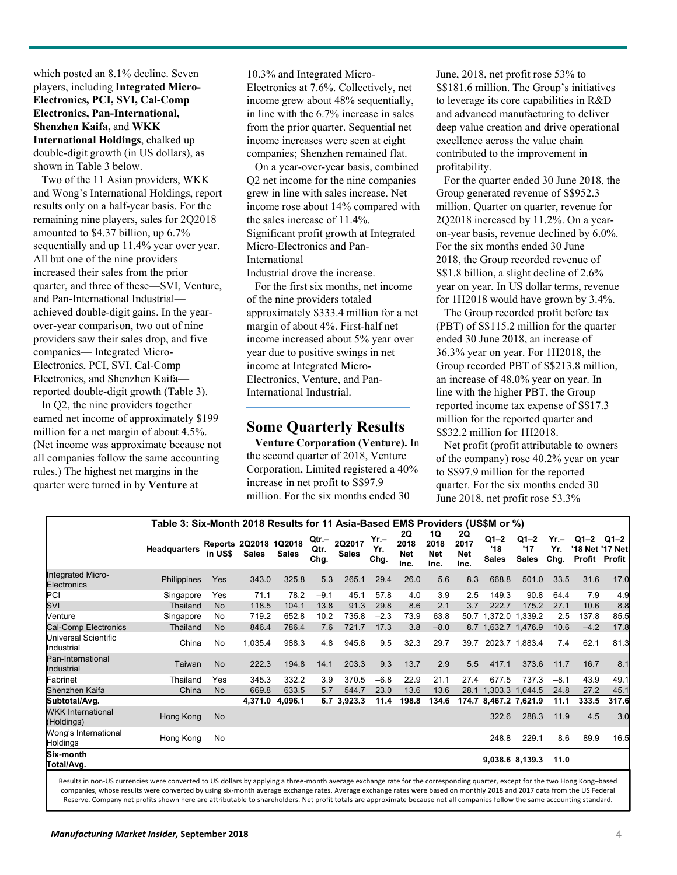which posted an 8.1% decline. Seven players, including **Integrated Micro-Electronics, PCI, SVI, Cal-Comp Electronics, Pan-International, Shenzhen Kaifa,** and **WKK International Holdings**, chalked up double-digit growth (in US dollars), as shown in Table 3 below.

Two of the 11 Asian providers, WKK and Wong's International Holdings, report results only on a half-year basis. For the remaining nine players, sales for 2Q2018 amounted to \$4.37 billion, up 6.7% sequentially and up 11.4% year over year. All but one of the nine providers increased their sales from the prior quarter, and three of these—SVI, Venture, and Pan-International Industrial achieved double-digit gains. In the yearover-year comparison, two out of nine providers saw their sales drop, and five companies— Integrated Micro-Electronics, PCI, SVI, Cal-Comp Electronics, and Shenzhen Kaifa reported double-digit growth (Table 3).

In Q2, the nine providers together earned net income of approximately \$199 million for a net margin of about 4.5%. (Net income was approximate because not all companies follow the same accounting rules.) The highest net margins in the quarter were turned in by **Venture** at

10.3% and Integrated Micro-Electronics at 7.6%. Collectively, net income grew about 48% sequentially, in line with the 6.7% increase in sales from the prior quarter. Sequential net income increases were seen at eight companies; Shenzhen remained flat.

On a year-over-year basis, combined Q2 net income for the nine companies grew in line with sales increase. Net income rose about 14% compared with the sales increase of 11.4%. Significant profit growth at Integrated Micro-Electronics and Pan-International

Industrial drove the increase. For the first six months, net income of the nine providers totaled approximately \$333.4 million for a net margin of about 4%. First-half net income increased about 5% year over year due to positive swings in net income at Integrated Micro-Electronics, Venture, and Pan-International Industrial.

#### **Some Quarterly Results**

**Venture Corporation (Venture).** In the second quarter of 2018, Venture Corporation, Limited registered a 40% increase in net profit to S\$97.9 million. For the six months ended 30

June, 2018, net profit rose 53% to S\$181.6 million. The Group's initiatives to leverage its core capabilities in R&D and advanced manufacturing to deliver deep value creation and drive operational excellence across the value chain contributed to the improvement in profitability.

For the quarter ended 30 June 2018, the Group generated revenue of S\$952.3 million. Quarter on quarter, revenue for 2Q2018 increased by 11.2%. On a yearon-year basis, revenue declined by 6.0%. For the six months ended 30 June 2018, the Group recorded revenue of S\$1.8 billion, a slight decline of 2.6% year on year. In US dollar terms, revenue for 1H2018 would have grown by 3.4%.

The Group recorded profit before tax (PBT) of S\$115.2 million for the quarter ended 30 June 2018, an increase of 36.3% year on year. For 1H2018, the Group recorded PBT of S\$213.8 million, an increase of 48.0% year on year. In line with the higher PBT, the Group reported income tax expense of S\$17.3 million for the reported quarter and S\$32.2 million for 1H2018.

Net profit (profit attributable to owners of the company) rose 40.2% year on year to S\$97.9 million for the reported quarter. For the six months ended 30 June 2018, net profit rose 53.3%

|                                         | Table 3: Six-Month 2018 Results for 11 Asia-Based EMS Providers (US\$M or %) |           |                                |              |                       |                        |                     |                                  |                                  |                                  |                                 |                                 |                     |                    |                                        |
|-----------------------------------------|------------------------------------------------------------------------------|-----------|--------------------------------|--------------|-----------------------|------------------------|---------------------|----------------------------------|----------------------------------|----------------------------------|---------------------------------|---------------------------------|---------------------|--------------------|----------------------------------------|
|                                         | <b>Headquarters</b>                                                          | in US\$   | Reports 2Q2018 1Q2018<br>Sales | <b>Sales</b> | Qtr.-<br>Qtr.<br>Chg. | 2Q2017<br><b>Sales</b> | Yr.–<br>Yr.<br>Chg. | 2Q<br>2018<br><b>Net</b><br>Inc. | 1Q<br>2018<br><b>Net</b><br>Inc. | 2Q<br>2017<br><b>Net</b><br>Inc. | $Q1 - 2$<br>'18<br><b>Sales</b> | $Q1 - 2$<br>'17<br><b>Sales</b> | Yr.–<br>Yr.<br>Chg. | $Q1 - 2$<br>Profit | $Q1 - 2$<br>'18 Net '17 Netl<br>Profit |
| <b>Integrated Micro-</b><br>Electronics | Philippines                                                                  | Yes       | 343.0                          | 325.8        | 5.3                   | 265.1                  | 29.4                | 26.0                             | 5.6                              | 8.3                              | 668.8                           | 501.0                           | 33.5                | 31.6               | 17.0                                   |
| PCI                                     | Singapore                                                                    | Yes       | 71.1                           | 78.2         | $-9.1$                | 45.1                   | 57.8                | 4.0                              | 3.9                              | 2.5                              | 149.3                           | 90.8                            | 64.4                | 7.9                | 4.9                                    |
| SVI                                     | Thailand                                                                     | <b>No</b> | 118.5                          | 104.1        | 13.8                  | 91.3                   | 29.8                | 8.6                              | 2.1                              | 3.7                              | 222.7                           | 175.2                           | 27.1                | 10.6               | 8.8                                    |
| Venture                                 | Singapore                                                                    | No        | 719.2                          | 652.8        | 10.2                  | 735.8                  | $-2.3$              | 73.9                             | 63.8                             | 50.7                             | 1,372.0 1,339.2                 |                                 | 2.5                 | 137.8              | 85.5                                   |
| <b>Cal-Comp Electronics</b>             | Thailand                                                                     | <b>No</b> | 846.4                          | 786.4        | 7.6                   | 721.7                  | 17.3                | 3.8                              | $-8.0$                           |                                  | 8.7 1,632.7 1,476.9             |                                 | 10.6                | $-4.2$             | 17.8                                   |
| Universal Scientific<br>Industrial      | China                                                                        | No        | 1,035.4                        | 988.3        | 4.8                   | 945.8                  | 9.5                 | 32.3                             | 29.7                             | 39.7                             |                                 | 2023.7 1,883.4                  | 7.4                 | 62.1               | 81.3                                   |
| Pan-International<br>Industrial         | Taiwan                                                                       | <b>No</b> | 222.3                          | 194.8        | 14.1                  | 203.3                  | 9.3                 | 13.7                             | 2.9                              | 5.5                              | 417.1                           | 373.6                           | 11.7                | 16.7               | 8.1                                    |
| Fabrinet                                | Thailand                                                                     | Yes       | 345.3                          | 332.2        | 3.9                   | 370.5                  | $-6.8$              | 22.9                             | 21.1                             | 27.4                             | 677.5                           | 737.3                           | $-8.1$              | 43.9               | 49.1                                   |
| Shenzhen Kaifa                          | China                                                                        | <b>No</b> | 669.8                          | 633.5        | 5.7                   | 544.7                  | 23.0                | 13.6                             | 13.6                             |                                  | 28.1 1,303.3 1,044.5            |                                 | 24.8                | 27.2               | 45.1                                   |
| Subtotal/Avg.                           |                                                                              |           | 4,371.0                        | 4,096.1      |                       | 6.7 3,923.3            | 11.4                | 198.8                            | 134.6                            |                                  | 174.7 8,467.2 7,621.9           |                                 | 11.1                | 333.5              | 317.6                                  |
| <b>WKK</b> International<br>(Holdings)  | Hong Kong                                                                    | No        |                                |              |                       |                        |                     |                                  |                                  |                                  | 322.6                           | 288.3                           | 11.9                | 4.5                | 3.0                                    |
| Wong's International<br><b>Holdings</b> | Hong Kong                                                                    | No        |                                |              |                       |                        |                     |                                  |                                  |                                  | 248.8                           | 229.1                           | 8.6                 | 89.9               | 16.5                                   |
| Six-month<br>Total/Avg.                 |                                                                              |           |                                |              |                       |                        |                     |                                  |                                  |                                  |                                 | 9,038.6 8,139.3                 | 11.0                |                    |                                        |

Results in non‐US currencies were converted to US dollars by applying a three‐month average exchange rate for the corresponding quarter, except for the two Hong Kong–based companies, whose results were converted by using six-month average exchange rates. Average exchange rates were based on monthly 2018 and 2017 data from the US Federal Reserve. Company net profits shown here are attributable to shareholders. Net profit totals are approximate because not all companies follow the same accounting standard.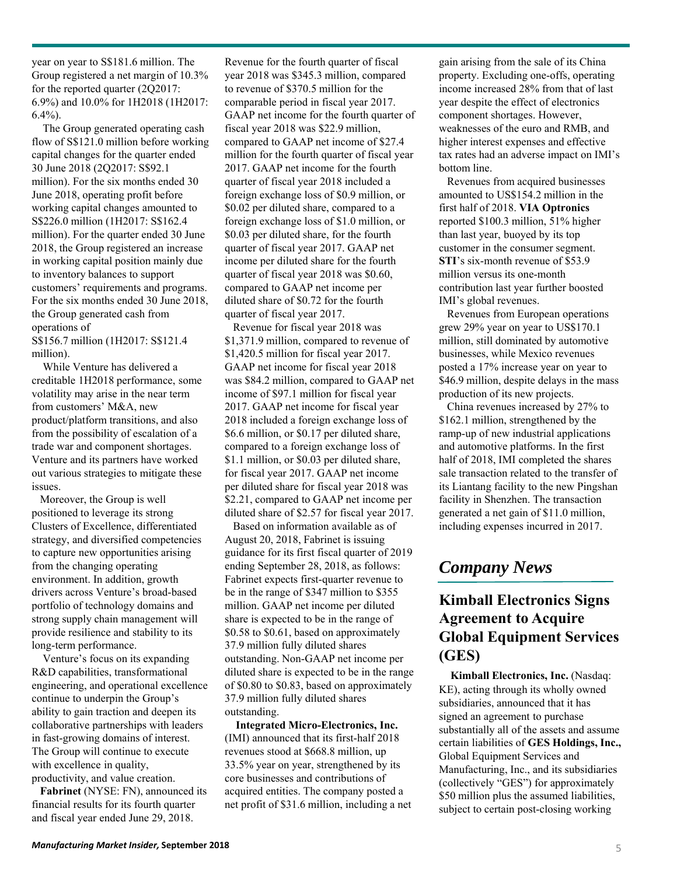year on year to S\$181.6 million. The Group registered a net margin of 10.3% for the reported quarter (2Q2017: 6.9%) and 10.0% for 1H2018 (1H2017:  $6.4\%$ ).

The Group generated operating cash flow of S\$121.0 million before working capital changes for the quarter ended 30 June 2018 (2Q2017: S\$92.1 million). For the six months ended 30 June 2018, operating profit before working capital changes amounted to S\$226.0 million (1H2017: S\$162.4 million). For the quarter ended 30 June 2018, the Group registered an increase in working capital position mainly due to inventory balances to support customers' requirements and programs. For the six months ended 30 June 2018, the Group generated cash from operations of

S\$156.7 million (1H2017: S\$121.4 million).

While Venture has delivered a creditable 1H2018 performance, some volatility may arise in the near term from customers' M&A, new product/platform transitions, and also from the possibility of escalation of a trade war and component shortages. Venture and its partners have worked out various strategies to mitigate these issues.

Moreover, the Group is well positioned to leverage its strong Clusters of Excellence, differentiated strategy, and diversified competencies to capture new opportunities arising from the changing operating environment. In addition, growth drivers across Venture's broad-based portfolio of technology domains and strong supply chain management will provide resilience and stability to its long-term performance.

Venture's focus on its expanding R&D capabilities, transformational engineering, and operational excellence continue to underpin the Group's ability to gain traction and deepen its collaborative partnerships with leaders in fast-growing domains of interest. The Group will continue to execute with excellence in quality, productivity, and value creation.

**Fabrinet** (NYSE: FN), announced its financial results for its fourth quarter and fiscal year ended June 29, 2018.

Revenue for the fourth quarter of fiscal year 2018 was \$345.3 million, compared to revenue of \$370.5 million for the comparable period in fiscal year 2017. GAAP net income for the fourth quarter of fiscal year 2018 was \$22.9 million, compared to GAAP net income of \$27.4 million for the fourth quarter of fiscal year 2017. GAAP net income for the fourth quarter of fiscal year 2018 included a foreign exchange loss of \$0.9 million, or \$0.02 per diluted share, compared to a foreign exchange loss of \$1.0 million, or \$0.03 per diluted share, for the fourth quarter of fiscal year 2017. GAAP net income per diluted share for the fourth quarter of fiscal year 2018 was \$0.60, compared to GAAP net income per diluted share of \$0.72 for the fourth quarter of fiscal year 2017.

Revenue for fiscal year 2018 was \$1,371.9 million, compared to revenue of \$1,420.5 million for fiscal year 2017. GAAP net income for fiscal year 2018 was \$84.2 million, compared to GAAP net income of \$97.1 million for fiscal year 2017. GAAP net income for fiscal year 2018 included a foreign exchange loss of \$6.6 million, or \$0.17 per diluted share, compared to a foreign exchange loss of \$1.1 million, or \$0.03 per diluted share, for fiscal year 2017. GAAP net income per diluted share for fiscal year 2018 was \$2.21, compared to GAAP net income per diluted share of \$2.57 for fiscal year 2017.

Based on information available as of August 20, 2018, Fabrinet is issuing guidance for its first fiscal quarter of 2019 ending September 28, 2018, as follows: Fabrinet expects first-quarter revenue to be in the range of \$347 million to \$355 million. GAAP net income per diluted share is expected to be in the range of \$0.58 to \$0.61, based on approximately 37.9 million fully diluted shares outstanding. Non-GAAP net income per diluted share is expected to be in the range of \$0.80 to \$0.83, based on approximately 37.9 million fully diluted shares outstanding.

**Integrated Micro-Electronics, Inc.**  (IMI) announced that its first-half 2018 revenues stood at \$668.8 million, up 33.5% year on year, strengthened by its core businesses and contributions of acquired entities. The company posted a net profit of \$31.6 million, including a net gain arising from the sale of its China property. Excluding one-offs, operating income increased 28% from that of last year despite the effect of electronics component shortages. However, weaknesses of the euro and RMB, and higher interest expenses and effective tax rates had an adverse impact on IMI's bottom line.

Revenues from acquired businesses amounted to US\$154.2 million in the first half of 2018. **VIA Optronics** reported \$100.3 million, 51% higher than last year, buoyed by its top customer in the consumer segment. **STI**'s six-month revenue of \$53.9 million versus its one-month contribution last year further boosted IMI's global revenues.

Revenues from European operations grew 29% year on year to US\$170.1 million, still dominated by automotive businesses, while Mexico revenues posted a 17% increase year on year to \$46.9 million, despite delays in the mass production of its new projects.

China revenues increased by 27% to \$162.1 million, strengthened by the ramp-up of new industrial applications and automotive platforms. In the first half of 2018, IMI completed the shares sale transaction related to the transfer of its Liantang facility to the new Pingshan facility in Shenzhen. The transaction generated a net gain of \$11.0 million, including expenses incurred in 2017.

# *Company News*

## **Kimball Electronics Signs Agreement to Acquire Global Equipment Services (GES)**

**Kimball Electronics, Inc.** (Nasdaq: KE), acting through its wholly owned subsidiaries, announced that it has signed an agreement to purchase substantially all of the assets and assume certain liabilities of **GES Holdings, Inc.,**  Global Equipment Services and Manufacturing, Inc., and its subsidiaries (collectively "GES") for approximately \$50 million plus the assumed liabilities, subject to certain post-closing working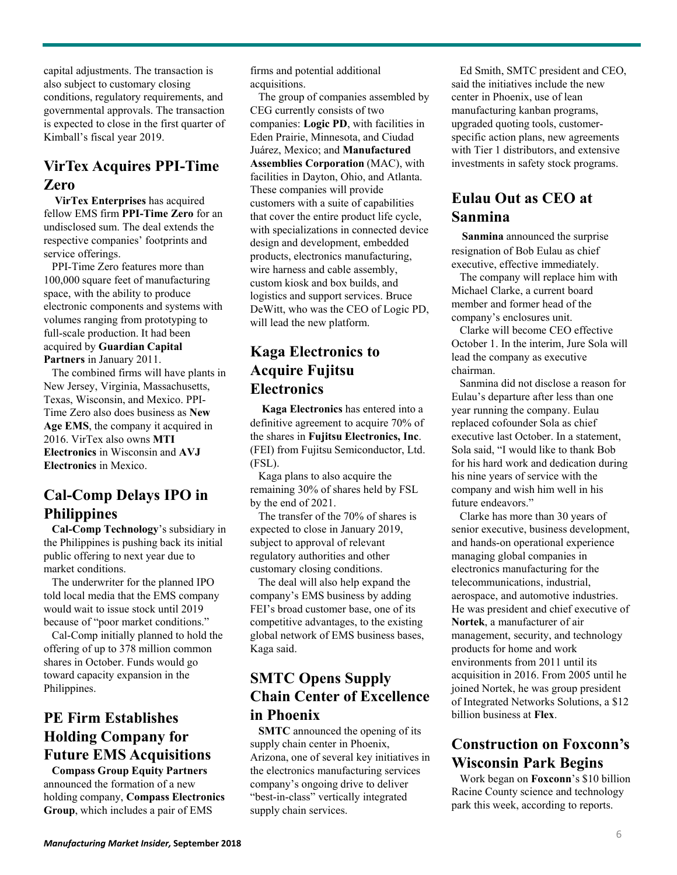capital adjustments. The transaction is also subject to customary closing conditions, regulatory requirements, and governmental approvals. The transaction is expected to close in the first quarter of Kimball's fiscal year 2019.

# **VirTex Acquires PPI-Time Zero**

**VirTex Enterprises** has acquired fellow EMS firm **PPI-Time Zero** for an undisclosed sum. The deal extends the respective companies' footprints and service offerings.

PPI-Time Zero features more than 100,000 square feet of manufacturing space, with the ability to produce electronic components and systems with volumes ranging from prototyping to full-scale production. It had been acquired by **Guardian Capital Partners** in January 2011.

The combined firms will have plants in New Jersey, Virginia, Massachusetts, Texas, Wisconsin, and Mexico. PPI-Time Zero also does business as **New Age EMS**, the company it acquired in 2016. VirTex also owns **MTI Electronics** in Wisconsin and **AVJ Electronics** in Mexico.

### **Cal-Comp Delays IPO in Philippines**

**Cal-Comp Technology**'s subsidiary in the Philippines is pushing back its initial public offering to next year due to market conditions.

The underwriter for the planned IPO told local media that the EMS company would wait to issue stock until 2019 because of "poor market conditions."

Cal-Comp initially planned to hold the offering of up to 378 million common shares in October. Funds would go toward capacity expansion in the Philippines.

# **PE Firm Establishes Holding Company for Future EMS Acquisitions**

**Compass Group Equity Partners**  announced the formation of a new holding company, **Compass Electronics Group**, which includes a pair of EMS

firms and potential additional acquisitions.

The group of companies assembled by CEG currently consists of two companies: **Logic PD**, with facilities in Eden Prairie, Minnesota, and Ciudad Juárez, Mexico; and **Manufactured Assemblies Corporation** (MAC), with facilities in Dayton, Ohio, and Atlanta. These companies will provide customers with a suite of capabilities that cover the entire product life cycle, with specializations in connected device design and development, embedded products, electronics manufacturing, wire harness and cable assembly, custom kiosk and box builds, and logistics and support services. Bruce DeWitt, who was the CEO of Logic PD, will lead the new platform.

# **Kaga Electronics to Acquire Fujitsu Electronics**

**Kaga Electronics** has entered into a definitive agreement to acquire 70% of the shares in **Fujitsu Electronics, Inc**. (FEI) from Fujitsu Semiconductor, Ltd. (FSL).

Kaga plans to also acquire the remaining 30% of shares held by FSL by the end of 2021.

The transfer of the 70% of shares is expected to close in January 2019, subject to approval of relevant regulatory authorities and other customary closing conditions.

The deal will also help expand the company's EMS business by adding FEI's broad customer base, one of its competitive advantages, to the existing global network of EMS business bases, Kaga said.

### **SMTC Opens Supply Chain Center of Excellence in Phoenix**

**SMTC** announced the opening of its supply chain center in Phoenix, Arizona, one of several key initiatives in the electronics manufacturing services company's ongoing drive to deliver "best-in-class" vertically integrated supply chain services.

Ed Smith, SMTC president and CEO, said the initiatives include the new center in Phoenix, use of lean manufacturing kanban programs, upgraded quoting tools, customerspecific action plans, new agreements with Tier 1 distributors, and extensive investments in safety stock programs.

#### **Eulau Out as CEO at Sanmina**

**Sanmina** announced the surprise resignation of Bob Eulau as chief executive, effective immediately.

The company will replace him with Michael Clarke, a current board member and former head of the company's enclosures unit.

Clarke will become CEO effective October 1. In the interim, Jure Sola will lead the company as executive chairman.

Sanmina did not disclose a reason for Eulau's departure after less than one year running the company. Eulau replaced cofounder Sola as chief executive last October. In a statement, Sola said, "I would like to thank Bob for his hard work and dedication during his nine years of service with the company and wish him well in his future endeavors."

Clarke has more than 30 years of senior executive, business development, and hands-on operational experience managing global companies in electronics manufacturing for the telecommunications, industrial, aerospace, and automotive industries. He was president and chief executive of **Nortek**, a manufacturer of air management, security, and technology products for home and work environments from 2011 until its acquisition in 2016. From 2005 until he joined Nortek, he was group president of Integrated Networks Solutions, a \$12 billion business at **Flex**.

# **Construction on Foxconn's Wisconsin Park Begins**

Work began on **Foxconn**'s \$10 billion Racine County science and technology park this week, according to reports.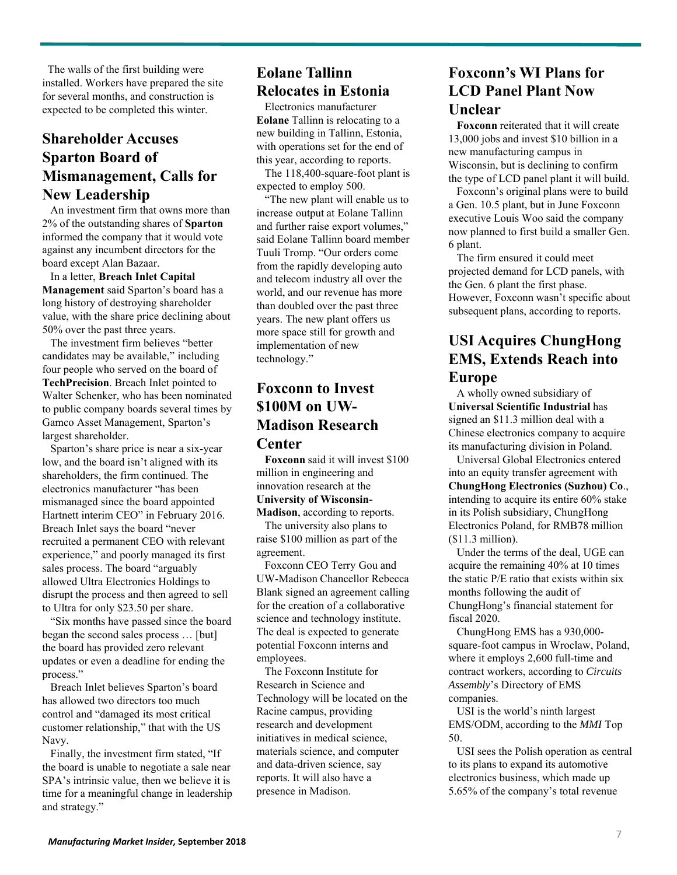The walls of the first building were installed. Workers have prepared the site for several months, and construction is expected to be completed this winter.

#### **Shareholder Accuses Sparton Board of Mismanagement, Calls for New Leadership**

An investment firm that owns more than 2% of the outstanding shares of **Sparton** informed the company that it would vote against any incumbent directors for the board except Alan Bazaar.

In a letter, **Breach Inlet Capital Management** said Sparton's board has a long history of destroying shareholder value, with the share price declining about 50% over the past three years.

The investment firm believes "better candidates may be available," including four people who served on the board of **TechPrecision**. Breach Inlet pointed to Walter Schenker, who has been nominated to public company boards several times by Gamco Asset Management, Sparton's largest shareholder.

Sparton's share price is near a six-year low, and the board isn't aligned with its shareholders, the firm continued. The electronics manufacturer "has been mismanaged since the board appointed Hartnett interim CEO" in February 2016. Breach Inlet says the board "never recruited a permanent CEO with relevant experience," and poorly managed its first sales process. The board "arguably allowed Ultra Electronics Holdings to disrupt the process and then agreed to sell to Ultra for only \$23.50 per share.

"Six months have passed since the board began the second sales process … [but] the board has provided zero relevant updates or even a deadline for ending the process."

Breach Inlet believes Sparton's board has allowed two directors too much control and "damaged its most critical customer relationship," that with the US Navy.

Finally, the investment firm stated, "If the board is unable to negotiate a sale near SPA's intrinsic value, then we believe it is time for a meaningful change in leadership and strategy."

#### **Eolane Tallinn Relocates in Estonia**

Electronics manufacturer **Eolane** Tallinn is relocating to a new building in Tallinn, Estonia, with operations set for the end of this year, according to reports.

The 118,400-square-foot plant is expected to employ 500.

"The new plant will enable us to increase output at Eolane Tallinn and further raise export volumes," said Eolane Tallinn board member Tuuli Tromp. "Our orders come from the rapidly developing auto and telecom industry all over the world, and our revenue has more than doubled over the past three years. The new plant offers us more space still for growth and implementation of new technology."

#### **Foxconn to Invest \$100M on UW-Madison Research Center**

**Foxconn** said it will invest \$100 million in engineering and innovation research at the **University of Wisconsin-**

**Madison**, according to reports. The university also plans to raise \$100 million as part of the agreement.

Foxconn CEO Terry Gou and UW-Madison Chancellor Rebecca Blank signed an agreement calling for the creation of a collaborative science and technology institute. The deal is expected to generate potential Foxconn interns and employees.

The Foxconn Institute for Research in Science and Technology will be located on the Racine campus, providing research and development initiatives in medical science, materials science, and computer and data-driven science, say reports. It will also have a presence in Madison.

#### **Foxconn's WI Plans for LCD Panel Plant Now Unclear**

**Foxconn** reiterated that it will create 13,000 jobs and invest \$10 billion in a new manufacturing campus in Wisconsin, but is declining to confirm the type of LCD panel plant it will build.

Foxconn's original plans were to build a Gen. 10.5 plant, but in June Foxconn executive Louis Woo said the company now planned to first build a smaller Gen. 6 plant.

The firm ensured it could meet projected demand for LCD panels, with the Gen. 6 plant the first phase. However, Foxconn wasn't specific about subsequent plans, according to reports.

# **USI Acquires ChungHong EMS, Extends Reach into Europe**

A wholly owned subsidiary of **Universal Scientific Industrial** has signed an \$11.3 million deal with a Chinese electronics company to acquire its manufacturing division in Poland.

Universal Global Electronics entered into an equity transfer agreement with **ChungHong Electronics (Suzhou) Co**., intending to acquire its entire 60% stake in its Polish subsidiary, ChungHong Electronics Poland, for RMB78 million (\$11.3 million).

Under the terms of the deal, UGE can acquire the remaining 40% at 10 times the static P/E ratio that exists within six months following the audit of ChungHong's financial statement for fiscal 2020.

ChungHong EMS has a 930,000 square-foot campus in Wroclaw, Poland, where it employs 2,600 full-time and contract workers, according to *Circuits Assembly*'s Directory of EMS companies.

USI is the world's ninth largest EMS/ODM, according to the *MMI* Top 50.

USI sees the Polish operation as central to its plans to expand its automotive electronics business, which made up 5.65% of the company's total revenue